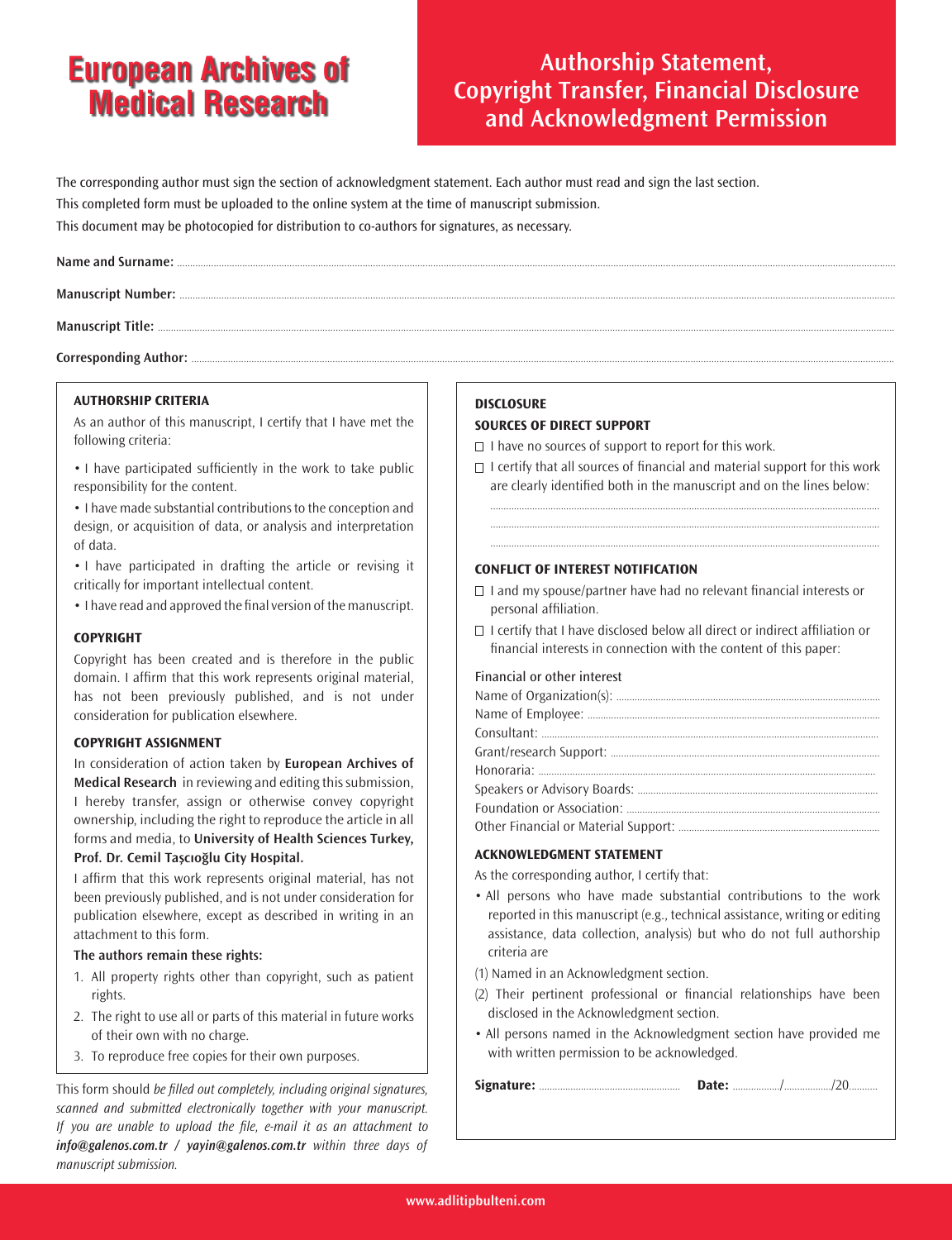## **European Archives of Medical Research**

## **Authorship Statement, Copyright Transfer, Financial Disclosure and Acknowledgment Permission**

The corresponding author must sign the section of acknowledgment statement. Each author must read and sign the last section. This completed form must be uploaded to the online system at the time of manuscript submission. This document may be photocopied for distribution to co-authors for signatures, as necessary.

Corresponding Author: ......

#### **AUTHORSHIP CRITERIA**

As an author of this manuscript, I certify that I have met the following criteria:

• I have participated sufficiently in the work to take public responsibility for the content.

• I have made substantial contributions to the conception and design, or acquisition of data, or analysis and interpretation of data.

• I have participated in drafting the article or revising it critically for important intellectual content.

• I have read and approved the final version of the manuscript.

#### **COPYRIGHT**

Copyright has been created and is therefore in the public domain. I affirm that this work represents original material, has not been previously published, and is not under consideration for publication elsewhere.

#### **COPYRIGHT ASSIGNMENT**

In consideration of action taken by **European Archives of Medical Research** in reviewing and editing thissubmission, I hereby transfer, assign or otherwise convey copyright ownership, including the right to reproduce the article in all forms and media, to **University of Health Sciences Turkey, Prof. Dr. Cemil Taşcıoğlu City Hospital.**

I affirm that this work represents original material, has not been previously published, and is not under consideration for publication elsewhere, except as described in writing in an attachment to this form.

#### **The authors remain these rights:**

- 1. All property rights other than copyright, such as patient rights.
- 2. The right to use all or parts of this material in future works of their own with no charge.
- 3. To reproduce free copies for their own purposes.

This form should be filled out completely, including original signatures, scanned and submitted electronically together with your manuscript. If you are unable to upload the file, e-mail it as an attachment to *info@galenos.com.tr / yayin@galenos.com.tr* within three days of manuscript submission.

#### **DISCLOSURE**

#### **SOURCES OF DIRECT SUPPORT**

 $\Box$  I have no sources of support to report for this work.

 $\Box$  I certify that all sources of financial and material support for this work are clearly identified both in the manuscript and on the lines below:

..................................................................................................................................................... ..................................................................................................................................................... .....................................................................................................................................................

#### **CONFLICT OF INTEREST NOTIFICATION**

- $\Box$  I and my spouse/partner have had no relevant financial interests or personal affiliation.
- $\Box$  I certify that I have disclosed below all direct or indirect affiliation or financial interests in connection with the content of this paper:

#### Financial or other interest

#### **ACKNOWLEDGMENT STATEMENT**

As the corresponding author, I certify that:

- All persons who have made substantial contributions to the work reported in this manuscript (e.g., technical assistance, writing or editing assistance, data collection, analysis) but who do not full authorship criteria are
- (1) Named in an Acknowledgment section.
- (2) Their pertinent professional or financial relationships have been disclosed in the Acknowledgment section.
- All persons named in the Acknowledgment section have provided me with written permission to be acknowledged.

|--|--|--|